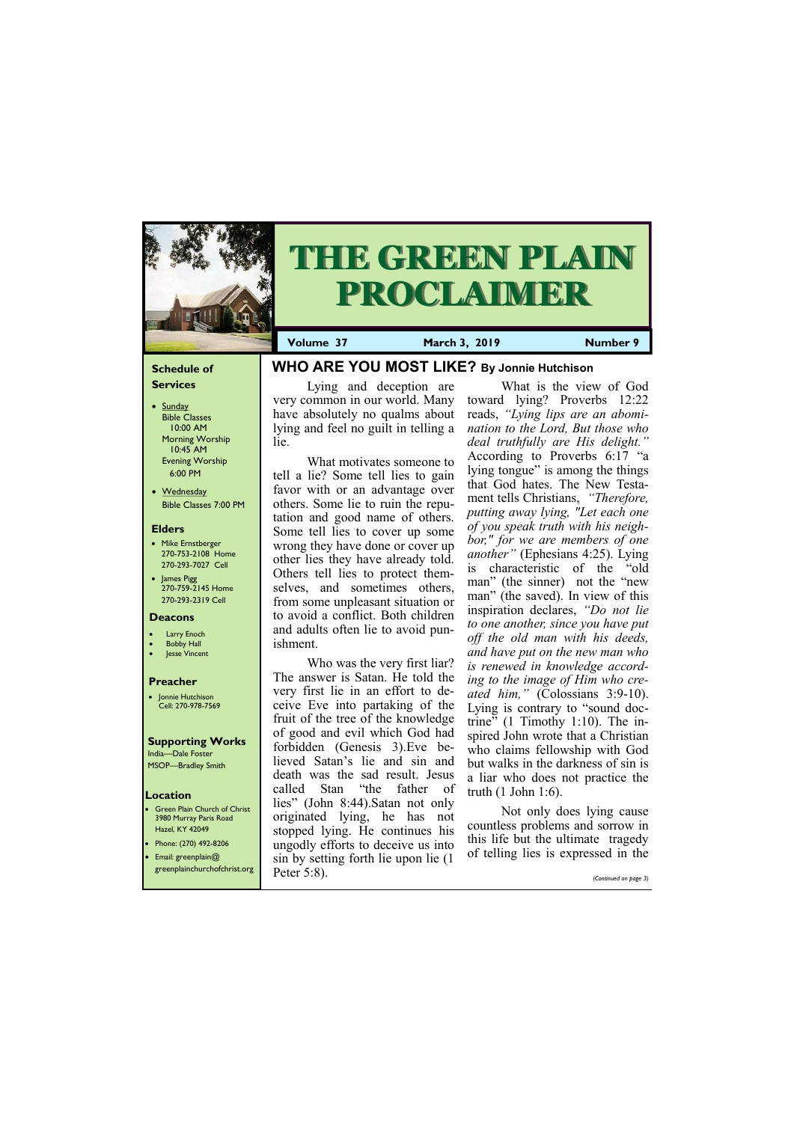#### **Schedule of Services**

- Sunday Bible Classes 10:00 AM Morning Worship 10:45 AM Evening Worship 6:00 PM
- Wednesday Bible Classes 7:00 PM

#### **Elders**

- Mike Ernstberger 270-753-2108 Home 270-293-7027 Cell
- James Pigg 270-759-2145 Home 270-293-2319 Cell



# **THE GREEN PLAIN PROCLAIMER**

#### **Location**

• Green Plain Church of Christ 3980 Murray Paris Road Hazel, KY 42049 • Phone: (270) 492-8206

• Email: greenplain@ greenplainchurchofchrist.org **Volume 37 March 3, 2019 Number 9**

#### **Deacons**

- **Larry Enoch**
- **Bobby Hall**
- Jesse Vincent

#### **Preacher**

• Jonnie Hutchison Cell: 270-978-7569

# **Supporting Works**

India—Dale Foster MSOP—Bradley Smith **WHO ARE YOU MOST LIKE? By Jonnie Hutchison**

Lying and deception are very common in our world. Many have absolutely no qualms about lying and feel no guilt in telling a lie.

What motivates someone to tell a lie? Some tell lies to gain favor with or an advantage over others. Some lie to ruin the reputation and good name of others. Some tell lies to cover up some wrong they have done or cover up other lies they have already told. Others tell lies to protect themselves, and sometimes others, from some unpleasant situation or to avoid a conflict. Both children and adults often lie to avoid punishment.

Who was the very first liar? The answer is Satan. He told the very first lie in an effort to deceive Eve into partaking of the fruit of the tree of the knowledge of good and evil which God had forbidden (Genesis 3).Eve believed Satan's lie and sin and death was the sad result. Jesus called Stan "the father of lies" (John 8:44).Satan not only originated lying, he has not stopped lying. He continues his ungodly efforts to deceive us into

What is the view of God toward lying? Proverbs 12:22 reads, *"Lying lips are an abomination to the Lord, But those who deal truthfully are His delight."* According to Proverbs 6:17 "a lying tongue" is among the things that God hates. The New Testament tells Christians, *"Therefore, putting away lying, "Let each one of you speak truth with his neighbor," for we are members of one another"* (Ephesians 4:25). Lying is characteristic of the "old man" (the sinner) not the "new man" (the saved). In view of this inspiration declares, *"Do not lie to one another, since you have put off the old man with his deeds, and have put on the new man who is renewed in knowledge according to the image of Him who created him,"* (Colossians 3:9-10). Lying is contrary to "sound doctrine" (1 Timothy 1:10). The inspired John wrote that a Christian who claims fellowship with God but walks in the darkness of sin is a liar who does not practice the truth (1 John 1:6).

sin by setting forth lie upon lie (1 Peter 5:8). of telling lies is expressed in the

Not only does lying cause countless problems and sorrow in this life but the ultimate tragedy

*(Continued on page 3)*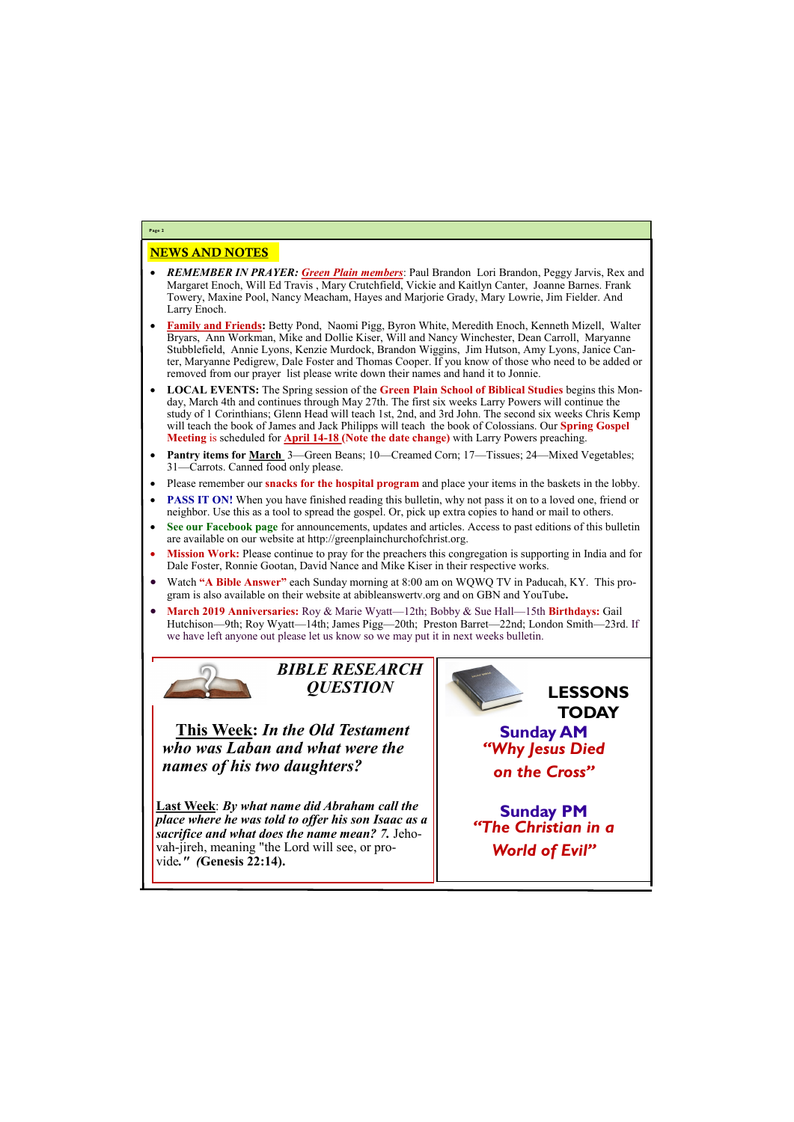### NEWS AND NOTES

- *REMEMBER IN PRAYER: Green Plain members*: Paul Brandon Lori Brandon, Peggy Jarvis, Rex and Margaret Enoch, Will Ed Travis , Mary Crutchfield, Vickie and Kaitlyn Canter, Joanne Barnes. Frank Towery, Maxine Pool, Nancy Meacham, Hayes and Marjorie Grady, Mary Lowrie, Jim Fielder. And Larry Enoch.
- **Family and Friends:** Betty Pond, Naomi Pigg, Byron White, Meredith Enoch, Kenneth Mizell, Walter Bryars, Ann Workman, Mike and Dollie Kiser, Will and Nancy Winchester, Dean Carroll, Maryanne Stubblefield, Annie Lyons, Kenzie Murdock, Brandon Wiggins, Jim Hutson, Amy Lyons, Janice Canter, Maryanne Pedigrew, Dale Foster and Thomas Cooper. If you know of those who need to be added or removed from our prayer list please write down their names and hand it to Jonnie.
- **LOCAL EVENTS:** The Spring session of the **Green Plain School of Biblical Studies** begins this Monday, March 4th and continues through May 27th. The first six weeks Larry Powers will continue the study of 1 Corinthians; Glenn Head will teach 1st, 2nd, and 3rd John. The second six weeks Chris Kemp will teach the book of James and Jack Philipps will teach the book of Colossians. Our **Spring Gospel Meeting** is scheduled for **April 14-18 (Note the date change)** with Larry Powers preaching.
- **Pantry items for March** 3—Green Beans; 10—Creamed Corn; 17—Tissues; 24—Mixed Vegetables; 31—Carrots. Canned food only please.
- Please remember our **snacks for the hospital program** and place your items in the baskets in the lobby.
- **PASS IT ON!** When you have finished reading this bulletin, why not pass it on to a loved one, friend or neighbor. Use this as a tool to spread the gospel. Or, pick up extra copies to hand or mail to others.
- **See our Facebook page** for announcements, updates and articles. Access to past editions of this bulletin are available on our website at http://greenplainchurchofchrist.org.
- **Mission Work:** Please continue to pray for the preachers this congregation is supporting in India and for Dale Foster, Ronnie Gootan, David Nance and Mike Kiser in their respective works.
- Watch **"A Bible Answer"** each Sunday morning at 8:00 am on WQWQ TV in Paducah, KY. This program is also available on their website at abibleanswertv.org and on GBN and YouTube**.**
- **March 2019 Anniversaries:** Roy & Marie Wyatt—12th; Bobby & Sue Hall—15th **Birthdays:** Gail Hutchison—9th; Roy Wyatt—14th; James Pigg—20th; Preston Barret—22nd; London Smith—23rd. If we have left anyone out please let us know so we may put it in next weeks bulletin.



**Last Week**: *By what name did Abraham call the place where he was told to offer his son Isaac as a sacrifice and what does the name mean? 7.* Jehoah-jirah, meaning "the Lord will g

**Page 2**

*BIBLE RESEARCH QUESTION*

**This Week:** *In the Old Testament who was Laban and what were the names of his two daughters?*

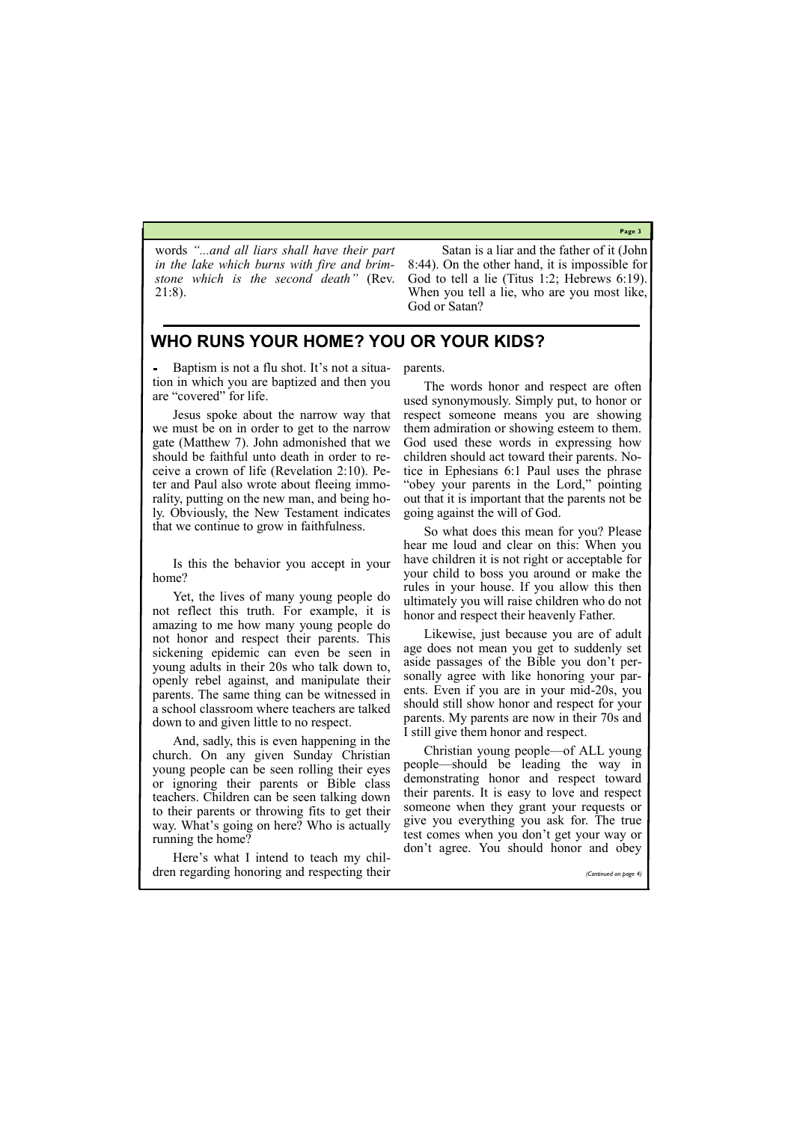**Page 3**

## **WHO RUNS YOUR HOME? YOU OR YOUR KIDS?**

words *"...and all liars shall have their part in the lake which burns with fire and brimstone which is the second death"* (Rev. 21:8).

Satan is a liar and the father of it (John 8:44). On the other hand, it is impossible for God to tell a lie (Titus 1:2; Hebrews 6:19). When you tell a lie, who are you most like, God or Satan?

Baptism is not a flu shot. It's not a situation in which you are baptized and then you are "covered" for life.

Jesus spoke about the narrow way that we must be on in order to get to the narrow gate (Matthew 7). John admonished that we should be faithful unto death in order to receive a crown of life (Revelation 2:10). Peter and Paul also wrote about fleeing immorality, putting on the new man, and being holy. Obviously, the New Testament indicates that we continue to grow in faithfulness.

Is this the behavior you accept in your home?

Yet, the lives of many young people do not reflect this truth. For example, it is amazing to me how many young people do not honor and respect their parents. This sickening epidemic can even be seen in young adults in their 20s who talk down to, openly rebel against, and manipulate their parents. The same thing can be witnessed in a school classroom where teachers are talked down to and given little to no respect.

And, sadly, this is even happening in the church. On any given Sunday Christian young people can be seen rolling their eyes or ignoring their parents or Bible class teachers. Children can be seen talking down to their parents or throwing fits to get their way. What's going on here? Who is actually running the home?

parents.

The words honor and respect are often used synonymously. Simply put, to honor or respect someone means you are showing them admiration or showing esteem to them. God used these words in expressing how children should act toward their parents. Notice in Ephesians 6:1 Paul uses the phrase "obey your parents in the Lord," pointing out that it is important that the parents not be going against the will of God.

So what does this mean for you? Please hear me loud and clear on this: When you have children it is not right or acceptable for your child to boss you around or make the rules in your house. If you allow this then ultimately you will raise children who do not honor and respect their heavenly Father.

| reminded nome.                               |  | don't agree. You should honor and obey |  |                       |
|----------------------------------------------|--|----------------------------------------|--|-----------------------|
| Here's what I intend to teach my chil-       |  |                                        |  |                       |
| dren regarding honoring and respecting their |  |                                        |  | (Continued on page 4) |

Likewise, just because you are of adult age does not mean you get to suddenly set aside passages of the Bible you don't personally agree with like honoring your parents. Even if you are in your mid-20s, you should still show honor and respect for your parents. My parents are now in their 70s and I still give them honor and respect.

Christian young people—of ALL young people—should be leading the way in demonstrating honor and respect toward their parents. It is easy to love and respect someone when they grant your requests or give you everything you ask for. The true test comes when you don't get your way or